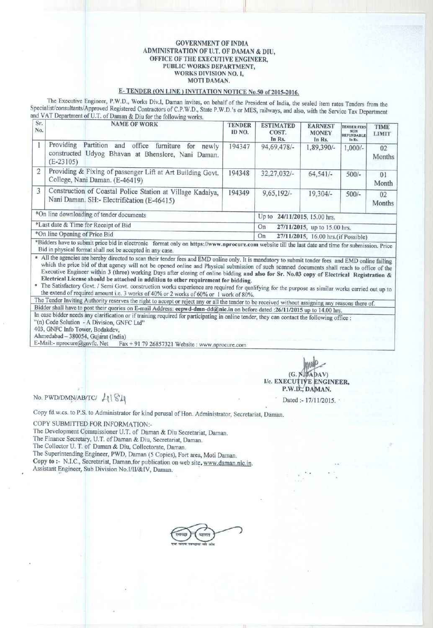#### GOVERNMENT OF INDIA ADMINISTRATION OF U.T. OF DAMAN & DIU, OFFICE OF THE EXECUTIVE ENGINEER, PUBLIC WORKS DEPARTMENT, WORKS DIVISION NO. I, MOTI DAMAN.

# **E- TENDER** (ON LINE ) INVITATION NOTICE No **50 of 2015-2016**.

The Executive Engineer, P.W.D., Works Div.I, Daman invites, on behalf of the President of India, the sealed item rates Tenders from the Specialist/consultants/Approved Registered Contractors of C.P.W.D., State P.W.D.'s or

| Sr.<br>No.                               | <b>NAME OF WORK</b>                                                                                                                       | <b>TENDER</b><br>ID NO.           | <b>ESTIMATED</b><br>COST.<br>In Rs.       | <b>EARNEST</b><br><b>MONEY</b><br>In Rs. | <b>TENDER FEES!</b><br><b>NON</b><br><b>REFUNDABLE</b><br>In Rs. | <b>TIME</b><br><b>LIMIT</b> |  |
|------------------------------------------|-------------------------------------------------------------------------------------------------------------------------------------------|-----------------------------------|-------------------------------------------|------------------------------------------|------------------------------------------------------------------|-----------------------------|--|
|                                          | Providing<br>Partition<br>office<br>furniture<br>and<br>for<br>newly<br>constructed Udyog Bhavan at Bhenslore, Nani Daman.<br>$(E-23105)$ | 194347                            | 94,69,478/-                               | 1,89,390/-                               | $1,000/-$                                                        | 02<br>Months                |  |
| 2                                        | Providing & Fixing of passenger Lift at Art Building Govt.<br>College, Nani Daman. (E-46419)                                              | 194348                            | 32,27,032/-                               | 64,541/                                  | $500/-$                                                          | 0 <sub>1</sub><br>Month     |  |
| $\mathcal{Z}$                            | Construction of Coastal Police Station at Village Kadaiya,<br>Nani Daman. SH:- Electrification (E-46415)                                  | 194349                            | $9,65,192/-$                              | 19,304/-                                 | $500/-$                                                          | 02<br>Months                |  |
| *On line downloading of tender documents |                                                                                                                                           | 24/11/2015, 15.00 hrs.<br>$Up$ to |                                           |                                          |                                                                  |                             |  |
| *Last date & Time for Receipt of Bid     |                                                                                                                                           |                                   | 27/11/2015, up to 15.00 hrs.<br>On        |                                          |                                                                  |                             |  |
| *On line Opening of Price Bid            |                                                                                                                                           |                                   | 27/11/2015, 16.00 hrs.(if Possible)<br>On |                                          |                                                                  |                             |  |

\*Bidders have to submit price bid in electronic format only **on https**://**www.nprocure**. **com website till the last** date and time for submission. Price Bid in physical format shall not be accepted in any case.

■ All the agencies are hereby directed to scan their tender fees and EMD online only. It is mandatory to submit tender fees and EMD online failing which the price bid of that agency will not be opened online and Physical submission of such scanned documents shall reach to office of the Executive Engineer within 3 (three) working Days after closing of online bidding **and also for Sr**. No.03 copy **of Electrical Registration & Electrical License should be attached in addition to other requirement for bidding.**

The Satisfactory Govt. / Semi Govt. construction works experience are required for qualifying for the purpose as similar works carried out up to the extend of required amount i.e. 3 works of 40% or 2 works of 60% or I work of 80%.

The Tender Inviting Authority reserves the right to accept or reject any or all the tender to be received without assigning any reasons there of. Bidder shall have to post their queries on E-mail Address: eepwd-dmn-dd@nic.in on before dated :26/11/2015 up to 14.00 hrs.

In case bidder needs any clarification or if training required for participating in online tender, they can contact the following office : "(n) Code Solution - A Division, GNFC Ltd"

403, GNFC Info Tower, Bodakdev,

Ahmedabad - 380054, Gujarat (India)

E-Mail:- n procure@gnvfc. Net Fax + 91 79 26857321 Website : www.n procure.com

**No. PWD**/**DMN/ABITC**/ JA <sup>I</sup>

 $(G. N M A DAV)$ **I/c. EXECUTIVE ENGINEER.** P.W.D., DAMAN.

**Dated :- 17/11/2015.**

Copy fd.w.cs. to P.S. to Administrator for kind perusal of Hon. Administrator, Secretariat, Daman.

COPY SUBMITTED FOR INFORMATION:-

The Development Commissioner U.T. of Daman & Diu Secretariat, Daman.

The Finance Secretary, U.T. of Daman & Diu, Secretariat, Daman.

The Collector U. T. of Daman & Diu, Collectorate, Daman.

The Superintending Engineer, PWD, Daman (5 Copies), Fort area, Moti Daman.

Copy to :- N.I.C., Secretariat, Daman.for publication on web site. www.daman.nic.in. Assistant Engineer, Sub Division No.l/II/&IV, Daman.